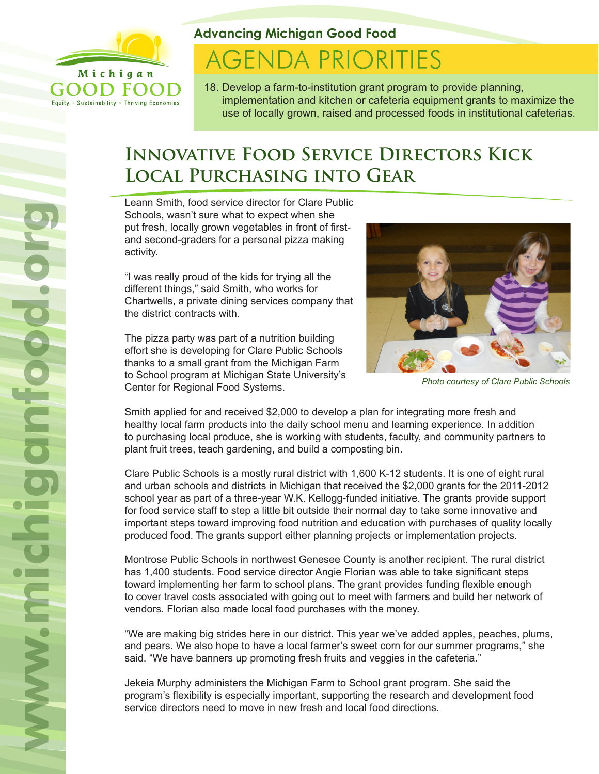

Equity . Sustainability . Thriving Economies

**Advancing Michigan Good Food**

# **AGENDA PRIORITIES**

18. Develop a farm-to-institution grant program to provide planning, implementation and kitchen or cafeteria equipment grants to maximize the use of locally grown, raised and processed foods in institutional cafeterias.

## **Innovative Food Service Directors Kick Local Purchasing into Gear**

Leann Smith, food service director for Clare Public Schools, wasn't sure what to expect when she put fresh, locally grown vegetables in front of firstand second-graders for a personal pizza making activity.

"I was really proud of the kids for trying all the different things," said Smith, who works for Chartwells, a private dining services company that the district contracts with.

The pizza party was part of a nutrition building effort she is developing for Clare Public Schools thanks to a small grant from the Michigan Farm to School program at Michigan State University's Center for Regional Food Systems.



*Photo courtesy of Clare Public Schools*

Smith applied for and received \$2,000 to develop a plan for integrating more fresh and healthy local farm products into the daily school menu and learning experience. In addition to purchasing local produce, she is working with students, faculty, and community partners to plant fruit trees, teach gardening, and build a composting bin.

Clare Public Schools is a mostly rural district with 1,600 K-12 students. It is one of eight rural and urban schools and districts in Michigan that received the \$2,000 grants for the 2011-2012 school year as part of a three-year W.K. Kellogg-funded initiative. The grants provide support for food service staff to step a little bit outside their normal day to take some innovative and important steps toward improving food nutrition and education with purchases of quality locally produced food. The grants support either planning projects or implementation projects.

Montrose Public Schools in northwest Genesee County is another recipient. The rural district has 1,400 students. Food service director Angie Florian was able to take significant steps toward implementing her farm to school plans. The grant provides funding flexible enough to cover travel costs associated with going out to meet with farmers and build her network of vendors. Florian also made local food purchases with the money.

"We are making big strides here in our district. This year we've added apples, peaches, plums, and pears. We also hope to have a local farmer's sweet corn for our summer programs," she said. "We have banners up promoting fresh fruits and veggies in the cafeteria."

Jekeia Murphy administers the Michigan Farm to School grant program. She said the program's flexibility is especially important, supporting the research and development food service directors need to move in new fresh and local food directions.